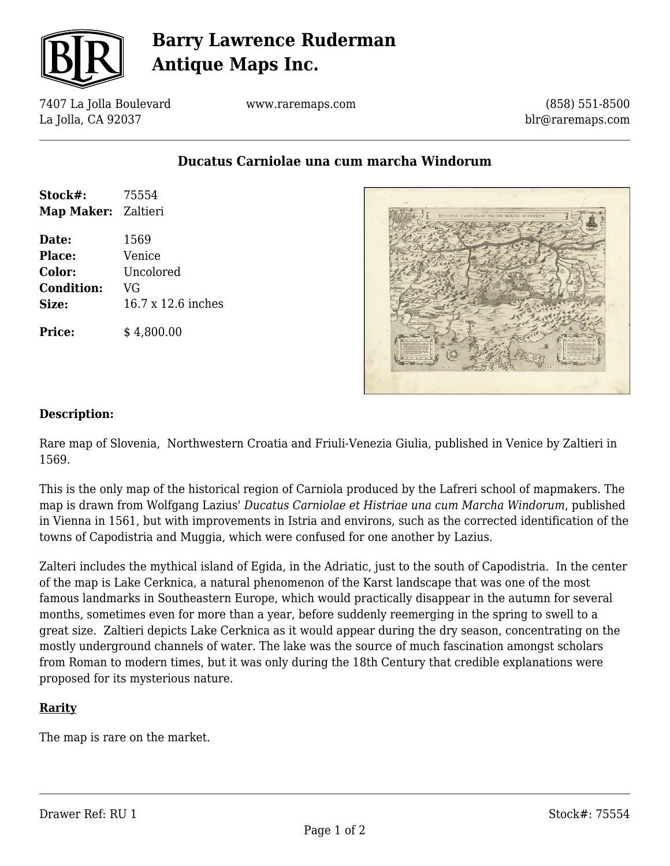

## **Barry Lawrence Ruderman Antique Maps Inc.**

7407 La Jolla Boulevard La Jolla, CA 92037

www.raremaps.com

(858) 551-8500 blr@raremaps.com

**Ducatus Carniolae una cum marcha Windorum**

| Stock#:<br>Map Maker: Zaltieri | 75554              |
|--------------------------------|--------------------|
| Date:                          | 1569               |
| Place:                         | Venice             |
| Color:                         | Uncolored          |
| <b>Condition:</b>              | VG                 |
| Size:                          | 16.7 x 12.6 inches |
| <b>Price:</b>                  | \$4,800.00         |



## **Description:**

Rare map of Slovenia, Northwestern Croatia and Friuli-Venezia Giulia, published in Venice by Zaltieri in 1569.

This is the only map of the historical region of Carniola produced by the Lafreri school of mapmakers. The map is drawn from Wolfgang Lazius' *Ducatus Carniolae et Histriae una cum Marcha Windorum*, published in Vienna in 1561, but with improvements in Istria and environs, such as the corrected identification of the towns of Capodistria and Muggia, which were confused for one another by Lazius.

Zalteri includes the mythical island of Egida, in the Adriatic, just to the south of Capodistria. In the center of the map is Lake Cerknica, a natural phenomenon of the Karst landscape that was one of the most famous landmarks in Southeastern Europe, which would practically disappear in the autumn for several months, sometimes even for more than a year, before suddenly reemerging in the spring to swell to a great size. Zaltieri depicts Lake Cerknica as it would appear during the dry season, concentrating on the mostly underground channels of water. The lake was the source of much fascination amongst scholars from Roman to modern times, but it was only during the 18th Century that credible explanations were proposed for its mysterious nature.

## **Rarity**

The map is rare on the market.